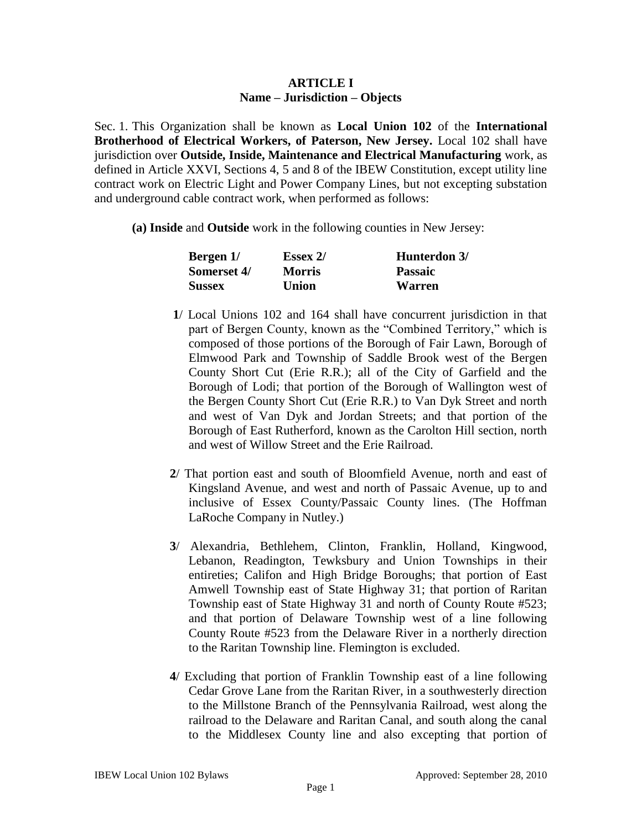## **ARTICLE I Name – Jurisdiction – Objects**

Sec. 1. This Organization shall be known as **Local Union 102** of the **International Brotherhood of Electrical Workers, of Paterson, New Jersey.** Local 102 shall have jurisdiction over **Outside, Inside, Maintenance and Electrical Manufacturing** work, as defined in Article XXVI, Sections 4, 5 and 8 of the IBEW Constitution, except utility line contract work on Electric Light and Power Company Lines, but not excepting substation and underground cable contract work, when performed as follows:

**(a) Inside** and **Outside** work in the following counties in New Jersey:

| Bergen 1/     | <b>Essex 2/</b> | Hunterdon 3/   |
|---------------|-----------------|----------------|
| Somerset 4/   | <b>Morris</b>   | <b>Passaic</b> |
| <b>Sussex</b> | <b>Union</b>    | Warren         |

- **1**/ Local Unions 102 and 164 shall have concurrent jurisdiction in that part of Bergen County, known as the "Combined Territory," which is composed of those portions of the Borough of Fair Lawn, Borough of Elmwood Park and Township of Saddle Brook west of the Bergen County Short Cut (Erie R.R.); all of the City of Garfield and the Borough of Lodi; that portion of the Borough of Wallington west of the Bergen County Short Cut (Erie R.R.) to Van Dyk Street and north and west of Van Dyk and Jordan Streets; and that portion of the Borough of East Rutherford, known as the Carolton Hill section, north and west of Willow Street and the Erie Railroad.
- **2**/ That portion east and south of Bloomfield Avenue, north and east of Kingsland Avenue, and west and north of Passaic Avenue, up to and inclusive of Essex County/Passaic County lines. (The Hoffman LaRoche Company in Nutley.)
- **3**/ Alexandria, Bethlehem, Clinton, Franklin, Holland, Kingwood, Lebanon, Readington, Tewksbury and Union Townships in their entireties; Califon and High Bridge Boroughs; that portion of East Amwell Township east of State Highway 31; that portion of Raritan Township east of State Highway 31 and north of County Route #523; and that portion of Delaware Township west of a line following County Route #523 from the Delaware River in a northerly direction to the Raritan Township line. Flemington is excluded.
- **4**/ Excluding that portion of Franklin Township east of a line following Cedar Grove Lane from the Raritan River, in a southwesterly direction to the Millstone Branch of the Pennsylvania Railroad, west along the railroad to the Delaware and Raritan Canal, and south along the canal to the Middlesex County line and also excepting that portion of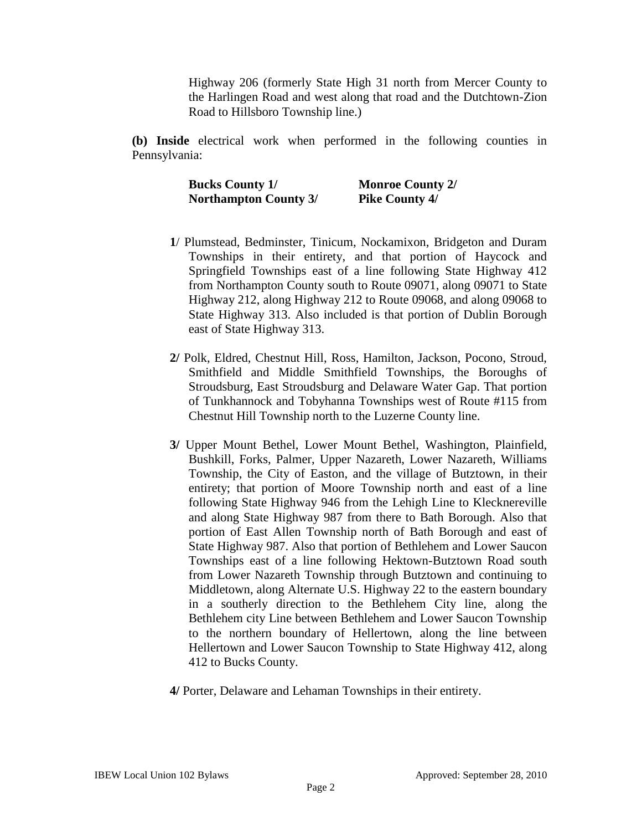Highway 206 (formerly State High 31 north from Mercer County to the Harlingen Road and west along that road and the Dutchtown-Zion Road to Hillsboro Township line.)

**(b) Inside** electrical work when performed in the following counties in Pennsylvania:

> **Bucks County 1/ Monroe County 2/ Northampton County 3/ Pike County 4/**

- **1**/ Plumstead, Bedminster, Tinicum, Nockamixon, Bridgeton and Duram Townships in their entirety, and that portion of Haycock and Springfield Townships east of a line following State Highway 412 from Northampton County south to Route 09071, along 09071 to State Highway 212, along Highway 212 to Route 09068, and along 09068 to State Highway 313. Also included is that portion of Dublin Borough east of State Highway 313.
- **2/** Polk, Eldred, Chestnut Hill, Ross, Hamilton, Jackson, Pocono, Stroud, Smithfield and Middle Smithfield Townships, the Boroughs of Stroudsburg, East Stroudsburg and Delaware Water Gap. That portion of Tunkhannock and Tobyhanna Townships west of Route #115 from Chestnut Hill Township north to the Luzerne County line.
- **3/** Upper Mount Bethel, Lower Mount Bethel, Washington, Plainfield, Bushkill, Forks, Palmer, Upper Nazareth, Lower Nazareth, Williams Township, the City of Easton, and the village of Butztown, in their entirety; that portion of Moore Township north and east of a line following State Highway 946 from the Lehigh Line to Klecknereville and along State Highway 987 from there to Bath Borough. Also that portion of East Allen Township north of Bath Borough and east of State Highway 987. Also that portion of Bethlehem and Lower Saucon Townships east of a line following Hektown-Butztown Road south from Lower Nazareth Township through Butztown and continuing to Middletown, along Alternate U.S. Highway 22 to the eastern boundary in a southerly direction to the Bethlehem City line, along the Bethlehem city Line between Bethlehem and Lower Saucon Township to the northern boundary of Hellertown, along the line between Hellertown and Lower Saucon Township to State Highway 412, along 412 to Bucks County.
- **4/** Porter, Delaware and Lehaman Townships in their entirety.